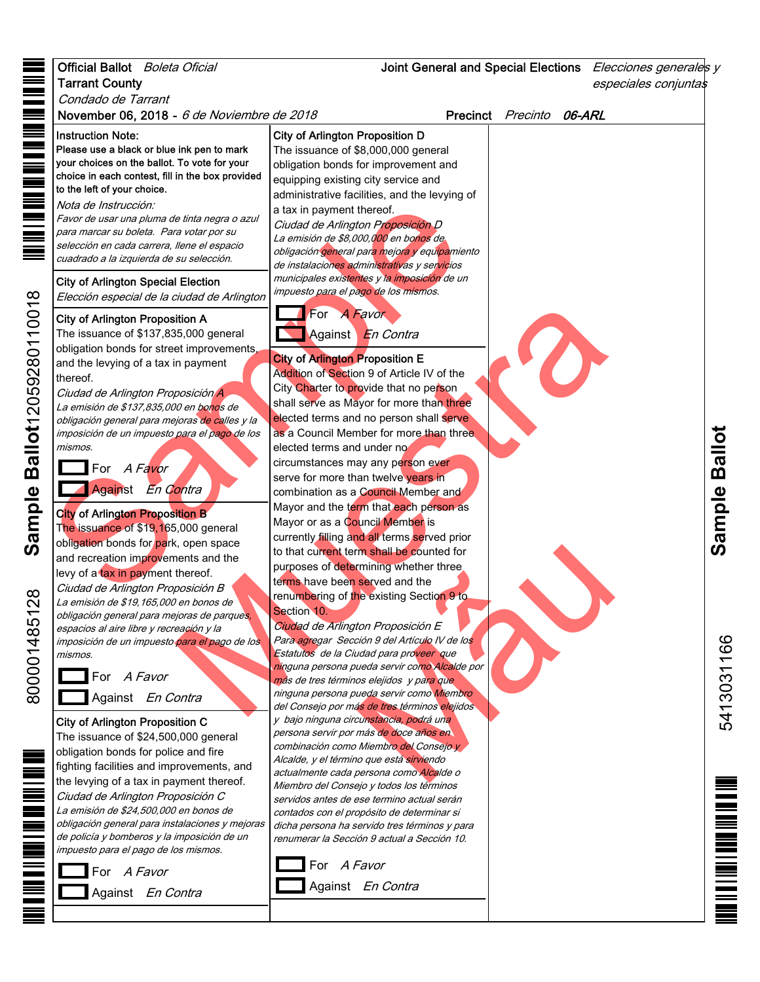## Official Ballot *Boleta Oficial* Joint General and Special Elections *Elecciones generales y* Tarrant County especiales conjuntas Condado de Tarrant November 06, 2018 - 6 de Noviembre de 2018 **Precinct** Precinct Precinto 06-ARL Instruction Note: City of Arlington Proposition D Please use a black or blue ink pen to mark The issuance of \$8,000,000 general your choices on the ballot. To vote for your obligation bonds for improvement and choice in each contest, fill in the box provided equipping existing city service and to the left of your choice. administrative facilities, and the levying of Nota de Instrucción:<br>
Favor de usar una pluma de tinta negra o azul<br>
cara marca su boleta. Para votar por su<br>
selección en caña carrea (lene el espacio de Arlington Proposition de Caña de Arlington Special Election<br>
City Nota de Instrucción: a tax in payment thereof. Favor de usar una pluma de tinta negra o azul Ciudad de Arlington Proposición D para marcar su boleta. Para votar por su La emisión de \$8,000,000 en bonos de selección en cada carrera, llene el espacio obligación general para mejora y equipamiento cuadrado a la izquierda de su selección. de instalaciones administrativas y servicios municipales existentes y la imposición de un City of Arlington Special Election impuesto para el pago de los mismos. Elección especial de la ciudad de Arlington tion A<br>
is 0.00 general<br>
et improvements.<br>
En Contra<br>
n payment<br>
city of **A Fungiton Proposition E**<br>
Against En Contra<br>
Designation of Section 9 of Article IV of the<br>
city Chatter to provide that no person shall serve as For A Favor City of Arlington Proposition A The issuance of \$137,835,000 general Against En Contra obligation bonds for street improvements, City of Arlington Proposition E and the levying of a tax in payment Addition of Section 9 of Article IV of the thereof. City Charter to provide that no person Ciudad de Arlington Proposición A shall serve as Mayor for more than three La emisión de \$137,835,000 en bo<mark>no</mark>s de elected terms and no person shall serve obligación general para mejoras d<mark>e ca</mark>lles y la as a Council Member for more than three **Sample Ballot** imposición de un impuesto para el pago de los Sample Ballot mismos. elected terms and under no circumstances may any person ever For A Favor serve for more than twelve years in Against En Contra combination as a Council Member and Mayor and the term that each person as City of Arlington Proposition B Mayor or as a Council Member is The issuance of \$19,165,000 general currently filling and all terms served prior obligation bonds for park, open space The shall be counted for<br>
trinining whether three<br>
served and the<br>
ton Proposición E<br>
ción 9 del Artículo IV de los<br>
ueda servir como Alcalde por<br>
ueda servir como Alcalde por<br>
ueda servir como Miembro<br>
selejidos<br>
va eleji to that current term shall be counted for and recreation improvements and the purposes of determining whether three levy of a tax in payment thereof. terms have been served and the Ciudad de Arlington Proposición B renumbering of the existing Section 9 to La emisión de \$19,165,000 en bonos de Section 10. obligación general para mejoras de parques, Ciudad de Arlington Proposición E espacios al aire libre y recreación y la Para agregar Sección 9 del Artículo IV de los 5413031166 imposición de un impuesto <mark>para el pag</mark>o de los 5413031166 Estatutos de la Ciudad para proveer que mismos. ninguna persona pueda servir como Alcalde por For A Favor más de tres términos elejidos y para que ninguna persona pueda servir como Miembro Against En Contra del Consejo por más de tres términos elejidos City of Arlington Proposition C y bajo ninguna circunstancia, podrá una persona servir por más de doce años en The issuance of \$24,500,000 general combinación como Miembro del Consejo y obligation bonds for police and fire Alcalde, y el término que está sirviendo fighting facilities and improvements, and actualmente cada persona como Alcalde o the levying of a tax in payment thereof. Miembro del Consejo y todos los términos Ciudad de Arlington Proposición C servidos antes de ese termino actual serán La emisión de \$24,500,000 en bonos de contados con el propósito de determinar si obligación general para instalaciones y mejoras dicha persona ha servido tres términos y para de policía y bomberos y la imposición de un renumerar la Sección 9 actual a Sección 10. impuesto para el pago de los mismos. For A Favor For A Favor Against En Contra Against En Contra

Sample Ballot12059280110018 **Sample Ballot**